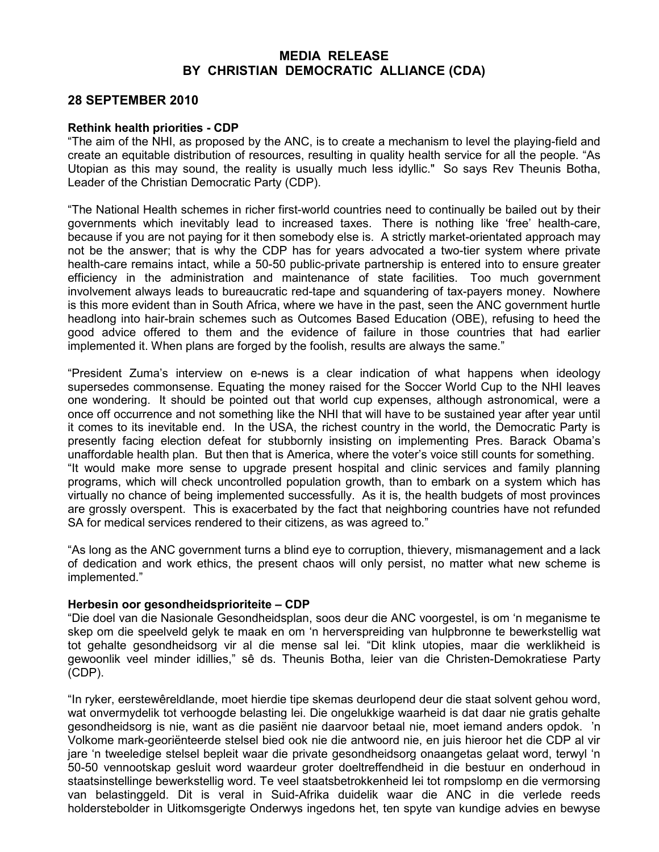## MEDIA RELEASE BY CHRISTIAN DEMOCRATIC ALLIANCE (CDA)

## 28 SEPTEMBER 2010

## Rethink health priorities - CDP

"The aim of the NHI, as proposed by the ANC, is to create a mechanism to level the playing-field and create an equitable distribution of resources, resulting in quality health service for all the people. "As Utopian as this may sound, the reality is usually much less idyllic." So says Rev Theunis Botha, Leader of the Christian Democratic Party (CDP).

"The National Health schemes in richer first-world countries need to continually be bailed out by their governments which inevitably lead to increased taxes. There is nothing like 'free' health-care, because if you are not paying for it then somebody else is. A strictly market-orientated approach may not be the answer; that is why the CDP has for years advocated a two-tier system where private health-care remains intact, while a 50-50 public-private partnership is entered into to ensure greater efficiency in the administration and maintenance of state facilities. Too much government involvement always leads to bureaucratic red-tape and squandering of tax-payers money. Nowhere is this more evident than in South Africa, where we have in the past, seen the ANC government hurtle headlong into hair-brain schemes such as Outcomes Based Education (OBE), refusing to heed the good advice offered to them and the evidence of failure in those countries that had earlier implemented it. When plans are forged by the foolish, results are always the same."

"President Zuma's interview on e-news is a clear indication of what happens when ideology supersedes commonsense. Equating the money raised for the Soccer World Cup to the NHI leaves one wondering. It should be pointed out that world cup expenses, although astronomical, were a once off occurrence and not something like the NHI that will have to be sustained year after year until it comes to its inevitable end. In the USA, the richest country in the world, the Democratic Party is presently facing election defeat for stubbornly insisting on implementing Pres. Barack Obama's unaffordable health plan. But then that is America, where the voter's voice still counts for something. "It would make more sense to upgrade present hospital and clinic services and family planning programs, which will check uncontrolled population growth, than to embark on a system which has virtually no chance of being implemented successfully. As it is, the health budgets of most provinces are grossly overspent. This is exacerbated by the fact that neighboring countries have not refunded SA for medical services rendered to their citizens, as was agreed to."

"As long as the ANC government turns a blind eye to corruption, thievery, mismanagement and a lack of dedication and work ethics, the present chaos will only persist, no matter what new scheme is implemented."

## Herbesin oor gesondheidsprioriteite – CDP

"Die doel van die Nasionale Gesondheidsplan, soos deur die ANC voorgestel, is om 'n meganisme te skep om die speelveld gelyk te maak en om 'n herverspreiding van hulpbronne te bewerkstellig wat tot gehalte gesondheidsorg vir al die mense sal lei. "Dit klink utopies, maar die werklikheid is gewoonlik veel minder idillies," sê ds. Theunis Botha, leier van die Christen-Demokratiese Party (CDP).

"In ryker, eerstewêreldlande, moet hierdie tipe skemas deurlopend deur die staat solvent gehou word, wat onvermydelik tot verhoogde belasting lei. Die ongelukkige waarheid is dat daar nie gratis gehalte gesondheidsorg is nie, want as die pasiënt nie daarvoor betaal nie, moet iemand anders opdok. 'n Volkome mark-georiënteerde stelsel bied ook nie die antwoord nie, en juis hieroor het die CDP al vir jare 'n tweeledige stelsel bepleit waar die private gesondheidsorg onaangetas gelaat word, terwyl 'n 50-50 vennootskap gesluit word waardeur groter doeltreffendheid in die bestuur en onderhoud in staatsinstellinge bewerkstellig word. Te veel staatsbetrokkenheid lei tot rompslomp en die vermorsing van belastinggeld. Dit is veral in Suid-Afrika duidelik waar die ANC in die verlede reeds holderstebolder in Uitkomsgerigte Onderwys ingedons het, ten spyte van kundige advies en bewyse